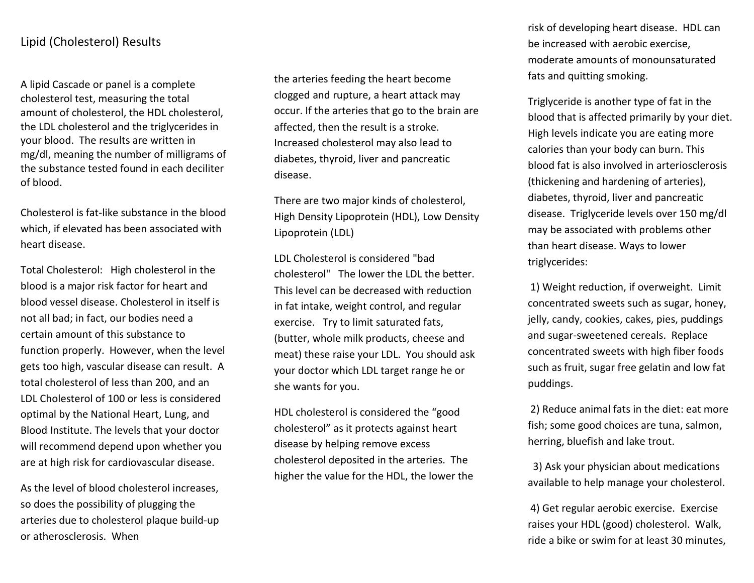## Lipid (Cholesterol) Results

A lipid Cascade or panel is a complete cholesterol test, measuring the total amount of cholesterol, the HDL cholesterol, the LDL cholesterol and the triglycerides in your blood. The results are written in mg/dl, meaning the number of milligrams of the substance tested found in each deciliter of blood.

Cholesterol is fat-like substance in the blood which, if elevated has been associated with heart disease.

Total Cholesterol: High cholesterol in the blood is a major risk factor for heart and blood vessel disease. Cholesterol in itself is not all bad; in fact, our bodies need a certain amount of this substance to function properly. However, when the level gets too high, vascular disease can result. A total cholesterol of less than 200, and an LDL Cholesterol of 100 or less is considered optimal by the National Heart, Lung, and Blood Institute. The levels that your doctor will recommend depend upon whether you are at high risk for cardiovascular disease.

As the level of blood cholesterol increases, so does the possibility of plugging the arteries due to cholesterol plaque build-up or atherosclerosis. When

the arteries feeding the heart become clogged and rupture, a heart attack may occur. If the arteries that go to the brain are affected, then the result is a stroke. Increased cholesterol may also lead to diabetes, thyroid, liver and pancreatic disease.

There are two major kinds of cholesterol, High Density Lipoprotein (HDL), Low Density Lipoprotein (LDL)

LDL Cholesterol is considered "bad cholesterol" The lower the LDL the better. This level can be decreased with reduction in fat intake, weight control, and regular exercise. Try to limit saturated fats, (butter, whole milk products, cheese and meat) these raise your LDL. You should ask your doctor which LDL target range he or she wants for you.

HDL cholesterol is considered the "good cholesterol" as it protects against heart disease by helping remove excess cholesterol deposited in the arteries. The higher the value for the HDL, the lower the risk of developing heart disease. HDL can be increased with aerobic exercise, moderate amounts of monounsaturated fats and quitting smoking.

Triglyceride is another type of fat in the blood that is affected primarily by your diet. High levels indicate you are eating more calories than your body can burn. This blood fat is also involved in arteriosclerosis (thickening and hardening of arteries), diabetes, thyroid, liver and pancreatic disease. Triglyceride levels over 150 mg/dl may be associated with problems other than heart disease. Ways to lower triglycerides:

1) Weight reduction, if overweight. Limit concentrated sweets such as sugar, honey, jelly, candy, cookies, cakes, pies, puddings and sugar-sweetened cereals. Replace concentrated sweets with high fiber foods such as fruit, sugar free gelatin and low fat puddings.

2) Reduce animal fats in the diet: eat more fish; some good choices are tuna, salmon, herring, bluefish and lake trout.

3) Ask your physician about medications available to help manage your cholesterol.

4) Get regular aerobic exercise. Exercise raises your HDL (good) cholesterol. Walk, ride a bike or swim for at least 30 minutes,